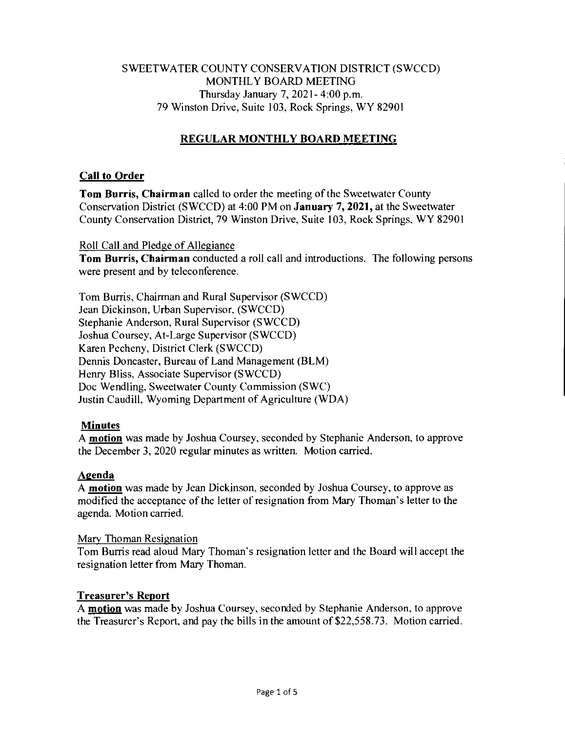# SWEETWATER COUNTY CONSERVATION DISTRICT (SWCCD) MONTHLY BOARD MEETING Thursday January 7, 2021- 4:00 p.m. 79 Winston Drive, Suite 103, Rock Springs, WY 82901

# **REGULAR MONTHLY BOARD MEETING**

# **Call to Order**

**Tom Burris, Chairman** called to order the meeting of the Sweetwater County Conservation District (SWCCD) at 4:00 PM on **January 7, 2021,** at the Sweetwater County Conservation District, 79 Winston Drive, Suite 103, Rock Springs, WY 82901

### Roll Call and Pledge of Allegiance

**Tom Burris, Chairman** conducted a roll call and introductions. The following persons were present and by teleconference.

Tom Burris, Chairman and Rural Supervisor (SWCCD) Jean Dickinson, Urban Supervisor, (SWCCD) Stephanie Anderson, Rural Supervisor (SWCCD) Joshua Coursey, At-Large Supervisor (SWCCD) Karen Pecheny, District Clerk (SWCCD) Dennis Doncaster, Bureau of Land Management (BLM) Henry Bliss, Associate Supervisor (SWCCD) Doc Wendling, Sweetwater County Commission (SWC) Justin Caudill, Wyoming Department of Agriculture (WDA)

## **Minutes**

**A motion** was made by Joshua Coursey, seconded by Stephanie Anderson, to approve the December 3, 2020 regular minutes as written. Motion carried.

## **Agenda**

A **motion** was made by Jean Dickinson, seconded by Joshua Coursey, to approve as modified the acceptance of the letter of resignation from Mary Thoman's letter to the agenda. Motion carried.

## Mary Thoman Resignation

Tom Burris read aloud Mary Thoman's resignation letter and the Board will accept the resignation letter from Mary Thoman.

## **Treasurer's Report**

**A motion** was made by Joshua Coursey, seconded by Stephanie Anderson, to approve the Treasurer's Report, and pay the bills in the amount of \$22,558.73. Motion carried.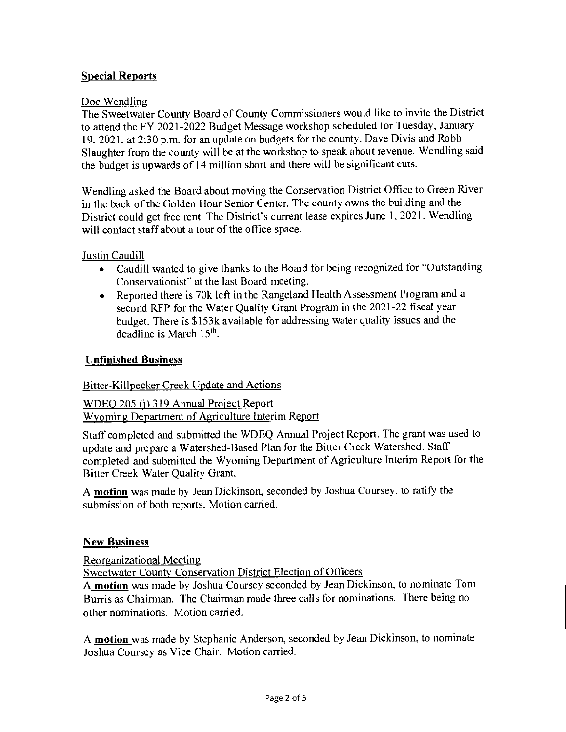# **Special Reports**

### Doc Wendling

The Sweetwater County Board of County Commissioners would like to invite the District to attend the FY 2021-2022 Budget Message workshop scheduled for Tuesday, January 19, 2021, at 2:30 p.m. for an update on budgets for the county. Dave Divis and Robb Slaughter from the county will be at the workshop to speak about revenue. Wendling said the budget is upwards of 14 million short and there will be significant cuts.

Wendling asked the Board about moving the Conservation District Office to Green River in the back of the Golden Hour Senior Center. The county owns the building and the District could get free rent. The District's current lease expires June 1, 2021. Wendling will contact staff about a tour of the office space.

Justin Caudill

- Caudill wanted to give thanks to the Board for being recognized for "Outstanding Conservationist" at the last Board meeting.
- Reported there is 70k left in the Rangeland Health Assessment Program and a second RFP for the Water Quality Grant Program in the 2021-22 fiscal year budget. There is \$153k available for addressing water quality issues and the deadline is March 15<sup>th</sup>.

#### **Unfinished Business**

## Bitter-Killpecker Creek Update and Actions

WDEQ 205 (j) 319 Annual Project Report Wyoming Department of Agriculture Interim Report

Staff completed and submitted the WDEQ Annual Project Report. The grant was used to update and prepare a Watershed-Based Plan for the Bitter Creek Watershed. Staff completed and submitted the Wyoming Department of Agriculture Interim Report for the Bitter Creek Water Quality Grant.

A **motion** was made by Jean Dickinson, seconded by Joshua Coursey, to ratify the submission of both reports. Motion carried.

#### **New Business**

Reorganizational Meeting

Sweetwater County Conservation District Election of Officers

A **motion** was made by Joshua Coursey seconded by Jean Dickinson, to nominate Tom Burris as Chairman. The Chairman made three calls for nominations. There being no other nominations. Motion carried.

A **motion** was made by Stephanie Anderson, seconded by Jean Dickinson, to nominate Joshua Coursey as Vice Chair. Motion carried.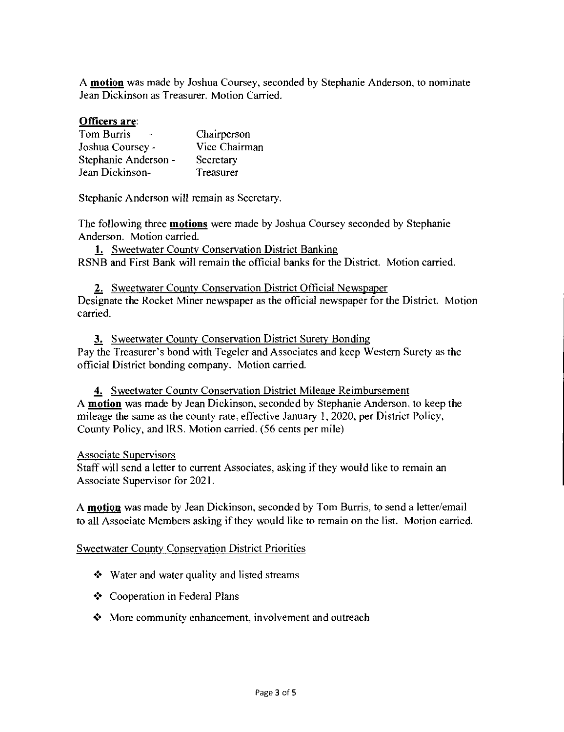A **motion** was made by Joshua Coursey, seconded by Stephanie Anderson, to nominate Jean Dickinson as Treasurer. Motion Carried.

#### **Officers are:**

| Tom Burris           | Chairperson   |
|----------------------|---------------|
| Joshua Coursey -     | Vice Chairman |
| Stephanie Anderson - | Secretary     |
| Jean Dickinson-      | Treasurer     |

Stephanie Anderson will remain as Secretary.

The following three **motions** were made by Joshua Coursey seconded by Stephanie Anderson. Motion carried.

1. Sweetwater County Conservation District Banking RSNB and First Bank will remain the official banks for the District. Motion carried.

2. Sweetwater County Conservation District Official Newspaper Designate the Rocket Miner newspaper as the official newspaper for the District. Motion carried.

3. Sweetwater County Conservation District Surety Bonding Pay the Treasurer's bond with Tegeler and Associates and keep Western Surety as the official District bonding company. Motion carried.

4. Sweetwater County Conservation District Mileage Reimbursement A **motion** was made by Jean Dickinson, seconded by Stephanie Anderson, to keep the mileage the same as the county rate, effective January 1, 2020, per District Policy, County Policy, and IRS. Motion carried. (56 cents per mile)

#### Associate Supervisors

Staff will send a letter to current Associates, asking if they would like to remain an Associate Supervisor for 2021.

A **motion** was made by Jean Dickinson, seconded by Tom Burris, to send a letter/email to all Associate Members asking if they would like to remain on the list. Motion carried.

#### Sweetwater County Conservation District Priorities

- ❖ Water and water quality and listed streams
- 4• Cooperation in Federal Plans
- More community enhancement, involvement and outreach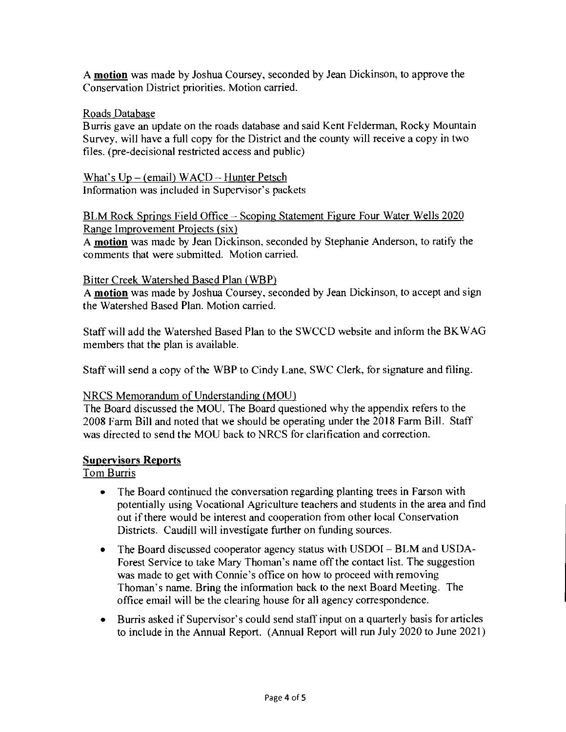A **motion** was made by Joshua Coursey, seconded by Jean Dickinson, to approve the Conservation District priorities. Motion carried.

### Roads Database

Burris gave an update on the roads database and said Kent Felderman, Rocky Mountain Survey, will have a full copy for the District and the county will receive a copy in two files. (pre-decisional restricted access and public)

What's Up — (email) WACD — Hunter Petsch Information was included in Supervisor's packets

### BLM Rock Springs Field Office — Scoping Statement Figure Four Water Wells 2020 Range Improvement Projects (six)

A **motion** was made by Jean Dickinson, seconded by Stephanie Anderson, to ratify the comments that were submitted. Motion carried.

#### Bitter Creek Watershed Based Plan (WBP)

A **motion** was made by Joshua Coursey, seconded by Jean Dickinson, to accept and sign the Watershed Based Plan. Motion carried.

Staff will add the Watershed Based Plan to the SWCCD website and inform the BKWAG members that the plan is available.

Staff will send a copy of the WBP to Cindy Lane, SWC Clerk, for signature and filing.

#### NRCS Memorandum of Understanding (MOU)

The Board discussed the MOU. The Board questioned why the appendix refers to the 2008 Farm Bill and noted that we should be operating under the 2018 Farm Bill. Staff was directed to send the MOU back to NRCS for clarification and correction.

#### **Supervisors Reports**

# Tom Burris

- The Board continued the conversation regarding planting trees in Farson with potentially using Vocational Agriculture teachers and students in the area and find out if there would be interest and cooperation from other local Conservation Districts. Caudill will investigate further on funding sources.
- The Board discussed cooperator agency status with USDOI BLM and USDA-Forest Service to take Mary Thoman's name off the contact list. The suggestion was made to get with Connie's office on how to proceed with removing Thoman's name. Bring the information back to the next Board Meeting. The office email will be the clearing house for all agency correspondence.
- Burris asked if Supervisor's could send staff input on a quarterly basis for articles to include in the Annual Report. (Annual Report will run July 2020 to June 2021)